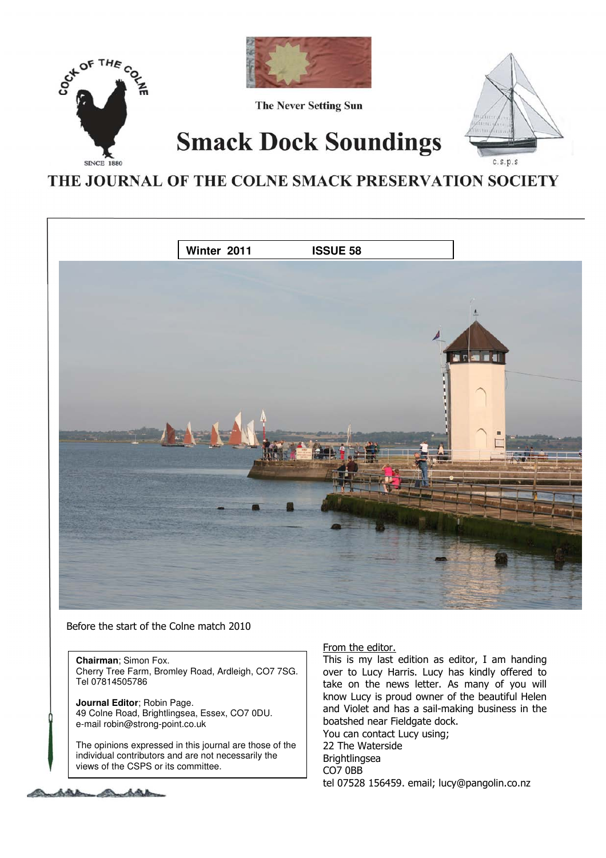

# THE JOURNAL OF THE COLNE SMACK PRESERVATION SOCIETY



Before the start of the Colne match 2010

**Chairman**; Simon Fox. Cherry Tree Farm, Bromley Road, Ardleigh, CO7 7SG. Tel 07814505786

**Journal Editor**; Robin Page. 49 Colne Road, Brightlingsea, Essex, CO7 0DU. e-mail robin@strong-point.co.uk

The opinions expressed in this journal are those of the individual contributors and are not necessarily the views of the CSPS or its committee.

## From the editor.

This is my last edition as editor, I am handing over to Lucy Harris. Lucy has kindly offered to take on the news letter. As many of you will know Lucy is proud owner of the beautiful Helen and Violet and has a sail-making business in the boatshed near Fieldgate dock. You can contact Lucy using; 22 The Waterside **Brightlingsea** CO7 0BB tel 07528 156459. email; lucy@pangolin.co.nz

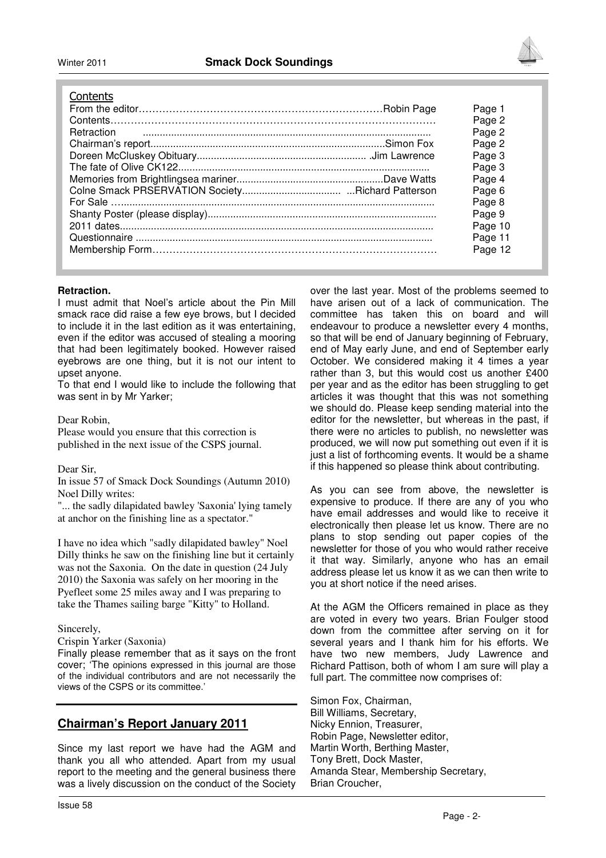

#### **Contents**

|  | Page 1  |
|--|---------|
|  | Page 2  |
|  | Page 2  |
|  | Page 2  |
|  | Page 3  |
|  | Page 3  |
|  | Page 4  |
|  | Page 6  |
|  | Page 8  |
|  | Page 9  |
|  | Page 10 |
|  | Page 11 |
|  | Page 12 |
|  |         |

#### **Retraction.**

I must admit that Noel's article about the Pin Mill smack race did raise a few eye brows, but I decided to include it in the last edition as it was entertaining, even if the editor was accused of stealing a mooring that had been legitimately booked. However raised eyebrows are one thing, but it is not our intent to upset anyone.

To that end I would like to include the following that was sent in by Mr Yarker;

Dear Robin,

Please would you ensure that this correction is published in the next issue of the CSPS journal.

#### Dear Sir,

In issue 57 of Smack Dock Soundings (Autumn 2010) Noel Dilly writes:

"... the sadly dilapidated bawley 'Saxonia' lying tamely at anchor on the finishing line as a spectator."

I have no idea which "sadly dilapidated bawley" Noel Dilly thinks he saw on the finishing line but it certainly was not the Saxonia. On the date in question (24 July 2010) the Saxonia was safely on her mooring in the Pyefleet some 25 miles away and I was preparing to take the Thames sailing barge "Kitty" to Holland.

Sincerely,

Crispin Yarker (Saxonia)

Finally please remember that as it says on the front cover; 'The opinions expressed in this journal are those of the individual contributors and are not necessarily the views of the CSPS or its committee.'

## **Chairman's Report January 2011**

Since my last report we have had the AGM and thank you all who attended. Apart from my usual report to the meeting and the general business there was a lively discussion on the conduct of the Society

over the last year. Most of the problems seemed to have arisen out of a lack of communication. The committee has taken this on board and will endeavour to produce a newsletter every 4 months, so that will be end of January beginning of February, end of May early June, and end of September early October. We considered making it 4 times a year rather than 3, but this would cost us another £400 per year and as the editor has been struggling to get articles it was thought that this was not something we should do. Please keep sending material into the editor for the newsletter, but whereas in the past, if there were no articles to publish, no newsletter was produced, we will now put something out even if it is just a list of forthcoming events. It would be a shame if this happened so please think about contributing.

As you can see from above, the newsletter is expensive to produce. If there are any of you who have email addresses and would like to receive it electronically then please let us know. There are no plans to stop sending out paper copies of the newsletter for those of you who would rather receive it that way. Similarly, anyone who has an email address please let us know it as we can then write to you at short notice if the need arises.

At the AGM the Officers remained in place as they are voted in every two years. Brian Foulger stood down from the committee after serving on it for several years and I thank him for his efforts. We have two new members, Judy Lawrence and Richard Pattison, both of whom I am sure will play a full part. The committee now comprises of:

Simon Fox, Chairman, Bill Williams, Secretary, Nicky Ennion, Treasurer, Robin Page, Newsletter editor, Martin Worth, Berthing Master, Tony Brett, Dock Master, Amanda Stear, Membership Secretary, Brian Croucher,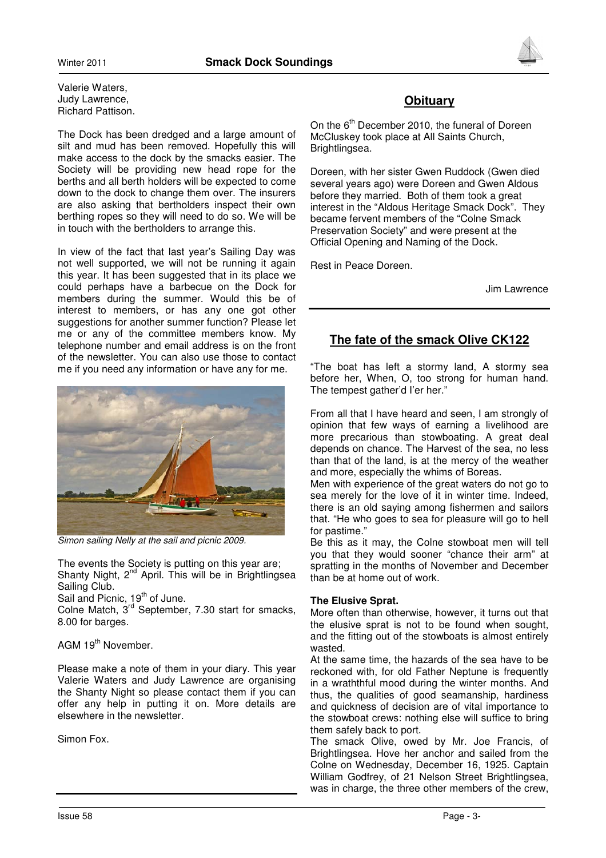Valerie Waters, Judy Lawrence, Richard Pattison.

The Dock has been dredged and a large amount of silt and mud has been removed. Hopefully this will make access to the dock by the smacks easier. The Society will be providing new head rope for the berths and all berth holders will be expected to come down to the dock to change them over. The insurers are also asking that bertholders inspect their own berthing ropes so they will need to do so. We will be in touch with the bertholders to arrange this.

In view of the fact that last year's Sailing Day was not well supported, we will not be running it again this year. It has been suggested that in its place we could perhaps have a barbecue on the Dock for members during the summer. Would this be of interest to members, or has any one got other suggestions for another summer function? Please let me or any of the committee members know. My telephone number and email address is on the front of the newsletter. You can also use those to contact me if you need any information or have any for me.



Simon sailing Nelly at the sail and picnic 2009.

The events the Society is putting on this year are; Shanty Night, 2<sup>nd</sup> April. This will be in Brightlingsea Sailing Club.

Sail and Picnic, 19<sup>th</sup> of June.

Colne Match, 3<sup>rd</sup> September, 7.30 start for smacks, 8.00 for barges.

## AGM 19<sup>th</sup> November.

Please make a note of them in your diary. This year Valerie Waters and Judy Lawrence are organising the Shanty Night so please contact them if you can offer any help in putting it on. More details are elsewhere in the newsletter.

Simon Fox.



On the 6<sup>th</sup> December 2010, the funeral of Doreen McCluskey took place at All Saints Church, Brightlingsea.

Doreen, with her sister Gwen Ruddock (Gwen died several years ago) were Doreen and Gwen Aldous before they married. Both of them took a great interest in the "Aldous Heritage Smack Dock". They became fervent members of the "Colne Smack Preservation Society" and were present at the Official Opening and Naming of the Dock.

Rest in Peace Doreen.

Jim Lawrence

# **The fate of the smack Olive CK122**

"The boat has left a stormy land, A stormy sea before her, When, O, too strong for human hand. The tempest gather'd I'er her."

From all that I have heard and seen, I am strongly of opinion that few ways of earning a livelihood are more precarious than stowboating. A great deal depends on chance. The Harvest of the sea, no less than that of the land, is at the mercy of the weather and more, especially the whims of Boreas.

Men with experience of the great waters do not go to sea merely for the love of it in winter time. Indeed, there is an old saying among fishermen and sailors that. "He who goes to sea for pleasure will go to hell for pastime."

Be this as it may, the Colne stowboat men will tell you that they would sooner "chance their arm" at spratting in the months of November and December than be at home out of work.

## **The Elusive Sprat.**

More often than otherwise, however, it turns out that the elusive sprat is not to be found when sought, and the fitting out of the stowboats is almost entirely wasted.

At the same time, the hazards of the sea have to be reckoned with, for old Father Neptune is frequently in a wraththful mood during the winter months. And thus, the qualities of good seamanship, hardiness and quickness of decision are of vital importance to the stowboat crews: nothing else will suffice to bring them safely back to port.

The smack Olive, owed by Mr. Joe Francis, of Brightlingsea. Hove her anchor and sailed from the Colne on Wednesday, December 16, 1925. Captain William Godfrey, of 21 Nelson Street Brightlingsea, was in charge, the three other members of the crew,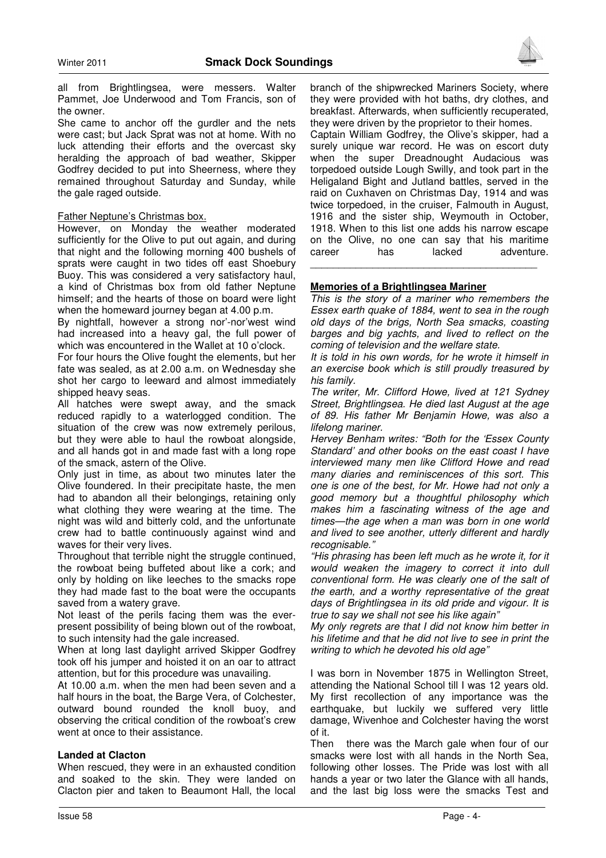

all from Brightlingsea, were messers. Walter Pammet, Joe Underwood and Tom Francis, son of the owner.

She came to anchor off the gurdler and the nets were cast; but Jack Sprat was not at home. With no luck attending their efforts and the overcast sky heralding the approach of bad weather, Skipper Godfrey decided to put into Sheerness, where they remained throughout Saturday and Sunday, while the gale raged outside.

#### Father Neptune's Christmas box.

However, on Monday the weather moderated sufficiently for the Olive to put out again, and during that night and the following morning 400 bushels of sprats were caught in two tides off east Shoebury Buoy. This was considered a very satisfactory haul, a kind of Christmas box from old father Neptune himself; and the hearts of those on board were light when the homeward journey began at 4.00 p.m.

By nightfall, however a strong nor'-nor'west wind had increased into a heavy gal, the full power of which was encountered in the Wallet at 10 o'clock.

For four hours the Olive fought the elements, but her fate was sealed, as at 2.00 a.m. on Wednesday she shot her cargo to leeward and almost immediately shipped heavy seas.

All hatches were swept away, and the smack reduced rapidly to a waterlogged condition. The situation of the crew was now extremely perilous, but they were able to haul the rowboat alongside, and all hands got in and made fast with a long rope of the smack, astern of the Olive.

Only just in time, as about two minutes later the Olive foundered. In their precipitate haste, the men had to abandon all their belongings, retaining only what clothing they were wearing at the time. The night was wild and bitterly cold, and the unfortunate crew had to battle continuously against wind and waves for their very lives.

Throughout that terrible night the struggle continued, the rowboat being buffeted about like a cork; and only by holding on like leeches to the smacks rope they had made fast to the boat were the occupants saved from a watery grave.

Not least of the perils facing them was the everpresent possibility of being blown out of the rowboat, to such intensity had the gale increased.

When at long last daylight arrived Skipper Godfrey took off his jumper and hoisted it on an oar to attract attention, but for this procedure was unavailing.

At 10.00 a.m. when the men had been seven and a half hours in the boat, the Barge Vera, of Colchester, outward bound rounded the knoll buoy, and observing the critical condition of the rowboat's crew went at once to their assistance.

#### **Landed at Clacton**

When rescued, they were in an exhausted condition and soaked to the skin. They were landed on Clacton pier and taken to Beaumont Hall, the local

branch of the shipwrecked Mariners Society, where they were provided with hot baths, dry clothes, and breakfast. Afterwards, when sufficiently recuperated, they were driven by the proprietor to their homes.

Captain William Godfrey, the Olive's skipper, had a surely unique war record. He was on escort duty when the super Dreadnought Audacious was torpedoed outside Lough Swilly, and took part in the Heligaland Bight and Jutland battles, served in the raid on Cuxhaven on Christmas Day, 1914 and was twice torpedoed, in the cruiser, Falmouth in August, 1916 and the sister ship, Weymouth in October, 1918. When to this list one adds his narrow escape on the Olive, no one can say that his maritime career has lacked adventure. \_\_\_\_\_\_\_\_\_\_\_\_\_\_\_\_\_\_\_\_\_\_\_\_\_\_\_\_\_\_\_\_\_\_\_\_\_\_\_\_

#### **Memories of a Brightlingsea Mariner**

This is the story of a mariner who remembers the Essex earth quake of 1884, went to sea in the rough old days of the brigs, North Sea smacks, coasting barges and big yachts, and lived to reflect on the coming of television and the welfare state.

It is told in his own words, for he wrote it himself in an exercise book which is still proudly treasured by his family.

The writer, Mr. Clifford Howe, lived at 121 Sydney Street, Brightlingsea. He died last August at the age of 89. His father Mr Benjamin Howe, was also a lifelong mariner.

Hervey Benham writes: "Both for the 'Essex County Standard' and other books on the east coast I have interviewed many men like Clifford Howe and read many diaries and reminiscences of this sort. This one is one of the best, for Mr. Howe had not only a good memory but a thoughtful philosophy which makes him a fascinating witness of the age and times—the age when a man was born in one world and lived to see another, utterly different and hardly recognisable."

"His phrasing has been left much as he wrote it, for it would weaken the imagery to correct it into dull conventional form. He was clearly one of the salt of the earth, and a worthy representative of the great days of Brightlingsea in its old pride and vigour. It is true to say we shall not see his like again"

My only regrets are that I did not know him better in his lifetime and that he did not live to see in print the writing to which he devoted his old age"

I was born in November 1875 in Wellington Street, attending the National School till I was 12 years old. My first recollection of any importance was the earthquake, but luckily we suffered very little damage, Wivenhoe and Colchester having the worst of it.

Then there was the March gale when four of our smacks were lost with all hands in the North Sea, following other losses. The Pride was lost with all hands a year or two later the Glance with all hands, and the last big loss were the smacks Test and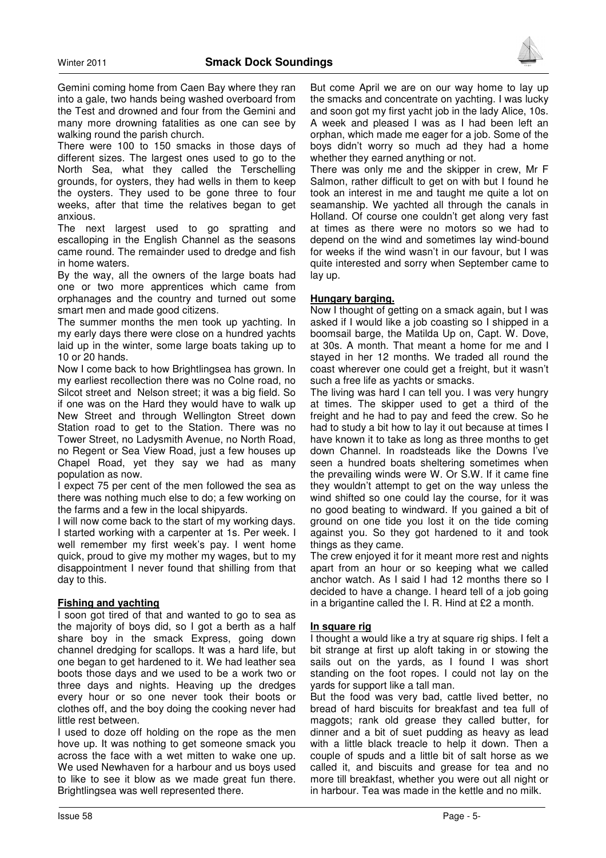

Gemini coming home from Caen Bay where they ran into a gale, two hands being washed overboard from the Test and drowned and four from the Gemini and many more drowning fatalities as one can see by walking round the parish church.

There were 100 to 150 smacks in those days of different sizes. The largest ones used to go to the North Sea, what they called the Terschelling grounds, for oysters, they had wells in them to keep the oysters. They used to be gone three to four weeks, after that time the relatives began to get anxious.

The next largest used to go spratting and escalloping in the English Channel as the seasons came round. The remainder used to dredge and fish in home waters.

By the way, all the owners of the large boats had one or two more apprentices which came from orphanages and the country and turned out some smart men and made good citizens.

The summer months the men took up yachting. In my early days there were close on a hundred yachts laid up in the winter, some large boats taking up to 10 or 20 hands.

Now I come back to how Brightlingsea has grown. In my earliest recollection there was no Colne road, no Silcot street and Nelson street; it was a big field. So if one was on the Hard they would have to walk up New Street and through Wellington Street down Station road to get to the Station. There was no Tower Street, no Ladysmith Avenue, no North Road, no Regent or Sea View Road, just a few houses up Chapel Road, yet they say we had as many population as now.

I expect 75 per cent of the men followed the sea as there was nothing much else to do; a few working on the farms and a few in the local shipyards.

I will now come back to the start of my working days. I started working with a carpenter at 1s. Per week. I well remember my first week's pay. I went home quick, proud to give my mother my wages, but to my disappointment I never found that shilling from that day to this.

#### **Fishing and yachting**

I soon got tired of that and wanted to go to sea as the majority of boys did, so I got a berth as a half share boy in the smack Express, going down channel dredging for scallops. It was a hard life, but one began to get hardened to it. We had leather sea boots those days and we used to be a work two or three days and nights. Heaving up the dredges every hour or so one never took their boots or clothes off, and the boy doing the cooking never had little rest between.

I used to doze off holding on the rope as the men hove up. It was nothing to get someone smack you across the face with a wet mitten to wake one up. We used Newhaven for a harbour and us boys used to like to see it blow as we made great fun there. Brightlingsea was well represented there.

But come April we are on our way home to lay up the smacks and concentrate on yachting. I was lucky and soon got my first yacht job in the lady Alice, 10s. A week and pleased I was as I had been left an orphan, which made me eager for a job. Some of the boys didn't worry so much ad they had a home whether they earned anything or not.

There was only me and the skipper in crew, Mr F Salmon, rather difficult to get on with but I found he took an interest in me and taught me quite a lot on seamanship. We yachted all through the canals in Holland. Of course one couldn't get along very fast at times as there were no motors so we had to depend on the wind and sometimes lay wind-bound for weeks if the wind wasn't in our favour, but I was quite interested and sorry when September came to lay up.

#### **Hungary barging.**

Now I thought of getting on a smack again, but I was asked if I would like a job coasting so I shipped in a boomsail barge, the Matilda Up on, Capt. W. Dove, at 30s. A month. That meant a home for me and I stayed in her 12 months. We traded all round the coast wherever one could get a freight, but it wasn't such a free life as yachts or smacks.

The living was hard I can tell you. I was very hungry at times. The skipper used to get a third of the freight and he had to pay and feed the crew. So he had to study a bit how to lay it out because at times I have known it to take as long as three months to get down Channel. In roadsteads like the Downs I've seen a hundred boats sheltering sometimes when the prevailing winds were W. Or S.W. If it came fine they wouldn't attempt to get on the way unless the wind shifted so one could lay the course, for it was no good beating to windward. If you gained a bit of ground on one tide you lost it on the tide coming against you. So they got hardened to it and took things as they came.

The crew enjoyed it for it meant more rest and nights apart from an hour or so keeping what we called anchor watch. As I said I had 12 months there so I decided to have a change. I heard tell of a job going in a brigantine called the I. R. Hind at £2 a month.

#### **In square rig**

I thought a would like a try at square rig ships. I felt a bit strange at first up aloft taking in or stowing the sails out on the yards, as I found I was short standing on the foot ropes. I could not lay on the yards for support like a tall man.

But the food was very bad, cattle lived better, no bread of hard biscuits for breakfast and tea full of maggots; rank old grease they called butter, for dinner and a bit of suet pudding as heavy as lead with a little black treacle to help it down. Then a couple of spuds and a little bit of salt horse as we called it, and biscuits and grease for tea and no more till breakfast, whether you were out all night or in harbour. Tea was made in the kettle and no milk.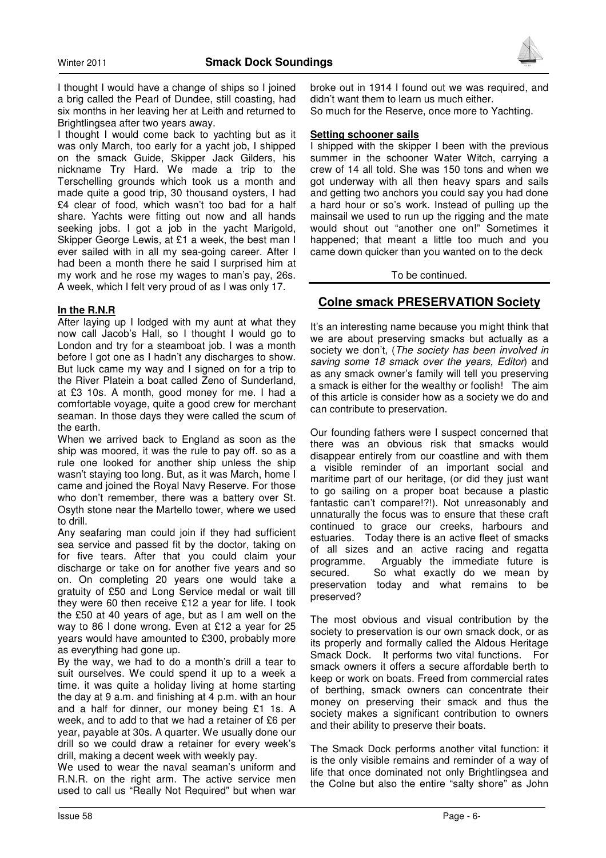

I thought I would have a change of ships so I joined a brig called the Pearl of Dundee, still coasting, had six months in her leaving her at Leith and returned to Brightlingsea after two years away.

I thought I would come back to yachting but as it was only March, too early for a yacht job, I shipped on the smack Guide, Skipper Jack Gilders, his nickname Try Hard. We made a trip to the Terschelling grounds which took us a month and made quite a good trip, 30 thousand oysters, I had £4 clear of food, which wasn't too bad for a half share. Yachts were fitting out now and all hands seeking jobs. I got a job in the yacht Marigold, Skipper George Lewis, at £1 a week, the best man I ever sailed with in all my sea-going career. After I had been a month there he said I surprised him at my work and he rose my wages to man's pay, 26s. A week, which I felt very proud of as I was only 17.

#### **In the R.N.R**

After laying up I lodged with my aunt at what they now call Jacob's Hall, so I thought I would go to London and try for a steamboat job. I was a month before I got one as I hadn't any discharges to show. But luck came my way and I signed on for a trip to the River Platein a boat called Zeno of Sunderland, at £3 10s. A month, good money for me. I had a comfortable voyage, quite a good crew for merchant seaman. In those days they were called the scum of the earth.

When we arrived back to England as soon as the ship was moored, it was the rule to pay off. so as a rule one looked for another ship unless the ship wasn't staying too long. But, as it was March, home I came and joined the Royal Navy Reserve. For those who don't remember, there was a battery over St. Osyth stone near the Martello tower, where we used to drill.

Any seafaring man could join if they had sufficient sea service and passed fit by the doctor, taking on for five tears. After that you could claim your discharge or take on for another five years and so on. On completing 20 years one would take a gratuity of £50 and Long Service medal or wait till they were 60 then receive £12 a year for life. I took the £50 at 40 years of age, but as I am well on the way to 86 I done wrong. Even at £12 a year for 25 years would have amounted to £300, probably more as everything had gone up.

By the way, we had to do a month's drill a tear to suit ourselves. We could spend it up to a week a time. it was quite a holiday living at home starting the day at 9 a.m. and finishing at 4 p.m. with an hour and a half for dinner, our money being £1 1s. A week, and to add to that we had a retainer of £6 per year, payable at 30s. A quarter. We usually done our drill so we could draw a retainer for every week's drill, making a decent week with weekly pay.

We used to wear the naval seaman's uniform and R.N.R. on the right arm. The active service men used to call us "Really Not Required" but when war

broke out in 1914 I found out we was required, and didn't want them to learn us much either. So much for the Reserve, once more to Yachting.

#### **Setting schooner sails**

I shipped with the skipper I been with the previous summer in the schooner Water Witch, carrying a crew of 14 all told. She was 150 tons and when we got underway with all then heavy spars and sails and getting two anchors you could say you had done a hard hour or so's work. Instead of pulling up the mainsail we used to run up the rigging and the mate would shout out "another one on!" Sometimes it happened; that meant a little too much and you came down quicker than you wanted on to the deck

#### To be continued.

# **Colne smack PRESERVATION Society**

It's an interesting name because you might think that we are about preserving smacks but actually as a society we don't, (The society has been involved in saving some 18 smack over the years, Editor) and as any smack owner's family will tell you preserving a smack is either for the wealthy or foolish! The aim of this article is consider how as a society we do and can contribute to preservation.

Our founding fathers were I suspect concerned that there was an obvious risk that smacks would disappear entirely from our coastline and with them a visible reminder of an important social and maritime part of our heritage, (or did they just want to go sailing on a proper boat because a plastic fantastic can't compare!?!). Not unreasonably and unnaturally the focus was to ensure that these craft continued to grace our creeks, harbours and estuaries. Today there is an active fleet of smacks of all sizes and an active racing and regatta programme. Arguably the immediate future is secured. So what exactly do we mean by preservation today and what remains to be preserved?

The most obvious and visual contribution by the society to preservation is our own smack dock, or as its properly and formally called the Aldous Heritage Smack Dock. It performs two vital functions. For smack owners it offers a secure affordable berth to keep or work on boats. Freed from commercial rates of berthing, smack owners can concentrate their money on preserving their smack and thus the society makes a significant contribution to owners and their ability to preserve their boats.

The Smack Dock performs another vital function: it is the only visible remains and reminder of a way of life that once dominated not only Brightlingsea and the Colne but also the entire "salty shore" as John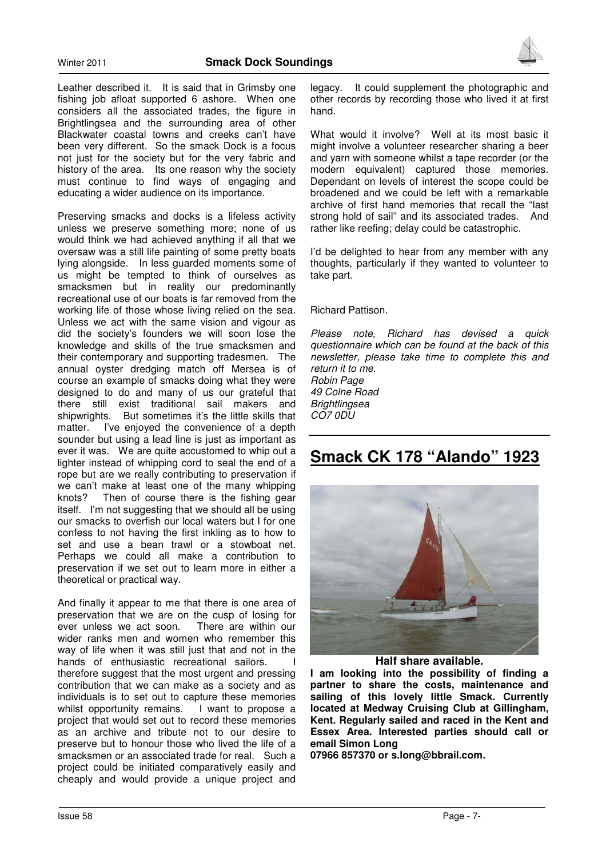

Leather described it. It is said that in Grimsby one fishing job afloat supported 6 ashore. When one considers all the associated trades, the figure in Brightlingsea and the surrounding area of other Blackwater coastal towns and creeks can't have been very different. So the smack Dock is a focus not just for the society but for the very fabric and history of the area. Its one reason why the society must continue to find ways of engaging and educating a wider audience on its importance.

Preserving smacks and docks is a lifeless activity unless we preserve something more; none of us would think we had achieved anything if all that we oversaw was a still life painting of some pretty boats lying alongside. In less guarded moments some of us might be tempted to think of ourselves as smacksmen but in reality our predominantly recreational use of our boats is far removed from the working life of those whose living relied on the sea. Unless we act with the same vision and vigour as did the society's founders we will soon lose the knowledge and skills of the true smacksmen and their contemporary and supporting tradesmen. The annual oyster dredging match off Mersea is of course an example of smacks doing what they were designed to do and many of us our grateful that there still exist traditional sail makers and shipwrights. But sometimes it's the little skills that matter. I've enjoyed the convenience of a depth sounder but using a lead line is just as important as ever it was. We are quite accustomed to whip out a lighter instead of whipping cord to seal the end of a rope but are we really contributing to preservation if we can't make at least one of the many whipping knots? Then of course there is the fishing gear itself. I'm not suggesting that we should all be using our smacks to overfish our local waters but I for one confess to not having the first inkling as to how to set and use a bean trawl or a stowboat net. Perhaps we could all make a contribution to preservation if we set out to learn more in either a theoretical or practical way.

And finally it appear to me that there is one area of preservation that we are on the cusp of losing for ever unless we act soon. There are within our wider ranks men and women who remember this way of life when it was still just that and not in the hands of enthusiastic recreational sailors. I therefore suggest that the most urgent and pressing contribution that we can make as a society and as individuals is to set out to capture these memories whilst opportunity remains. I want to propose a project that would set out to record these memories as an archive and tribute not to our desire to preserve but to honour those who lived the life of a smacksmen or an associated trade for real. Such a project could be initiated comparatively easily and cheaply and would provide a unique project and

legacy. It could supplement the photographic and other records by recording those who lived it at first hand.

What would it involve? Well at its most basic it might involve a volunteer researcher sharing a beer and yarn with someone whilst a tape recorder (or the modern equivalent) captured those memories. Dependant on levels of interest the scope could be broadened and we could be left with a remarkable archive of first hand memories that recall the "last strong hold of sail" and its associated trades. And rather like reefing; delay could be catastrophic.

I'd be delighted to hear from any member with any thoughts, particularly if they wanted to volunteer to take part.

Richard Pattison.

Please note, Richard has devised a quick questionnaire which can be found at the back of this newsletter, please take time to complete this and return it to me.

Robin Page 49 Colne Road **Brightlingsea** CO7 0DU

# **Smack CK 178 "Alando" 1923**



**Half share available.** 

**I am looking into the possibility of finding a partner to share the costs, maintenance and sailing of this lovely little Smack. Currently located at Medway Cruising Club at Gillingham, Kent. Regularly sailed and raced in the Kent and Essex Area. Interested parties should call or email Simon Long** 

**07966 857370 or s.long@bbrail.com.**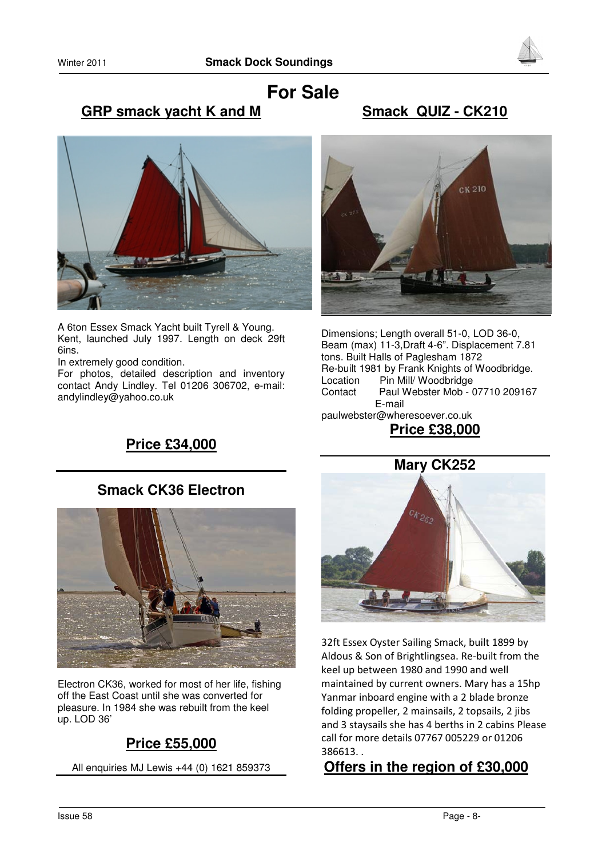



# **For Sale GRP smack yacht K and M**

# **Smack QUIZ - CK210**



A 6ton Essex Smack Yacht built Tyrell & Young. Kent, launched July 1997. Length on deck 29ft 6ins.

In extremely good condition.

For photos, detailed description and inventory contact Andy Lindley. Tel 01206 306702, e-mail: andylindley@yahoo.co.uk



Dimensions; Length overall 51-0, LOD 36-0, Beam (max) 11-3,Draft 4-6". Displacement 7.81 tons. Built Halls of Paglesham 1872 Re-built 1981 by Frank Knights of Woodbridge. Location Pin Mill/ Woodbridge Contact Paul Webster Mob - 07710 209167 E-mail paulwebster@wheresoever.co.uk

# **Price £38,000**

# **Price £34,000**

# **Smack CK36 Electron**



Electron CK36, worked for most of her life, fishing off the East Coast until she was converted for pleasure. In 1984 she was rebuilt from the keel up. LOD 36'

# **Price £55,000**

All enquiries MJ Lewis +44 (0) 1621 859373



32ft Essex Oyster Sailing Smack, built 1899 by Aldous & Son of Brightlingsea. Re-built from the keel up between 1980 and 1990 and well maintained by current owners. Mary has a 15hp Yanmar inboard engine with a 2 blade bronze folding propeller, 2 mainsails, 2 topsails, 2 jibs and 3 staysails she has 4 berths in 2 cabins Please call for more details 07767 005229 or 01206 386613. .

# **Offers in the region of £30,000**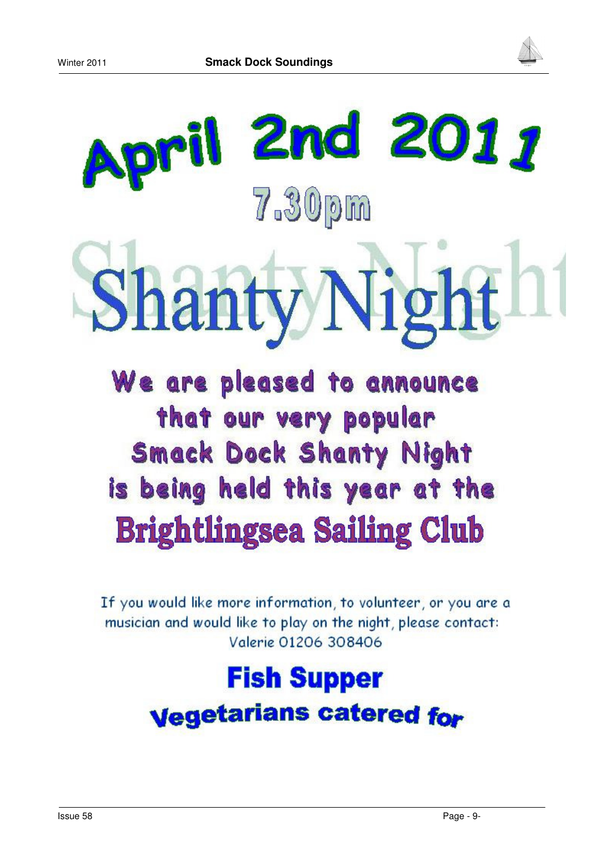



# il 2nd 2011 7.30pm anty Nigl

# We are pleased to announce that our very popular **Smack Dock Shanty Night** is being held this year at the **Brightlingsea Sailing Club**

If you would like more information, to volunteer, or you are a musician and would like to play on the night, please contact: Valerie 01206 308406

# **Fish Supper Vegetarians catered for**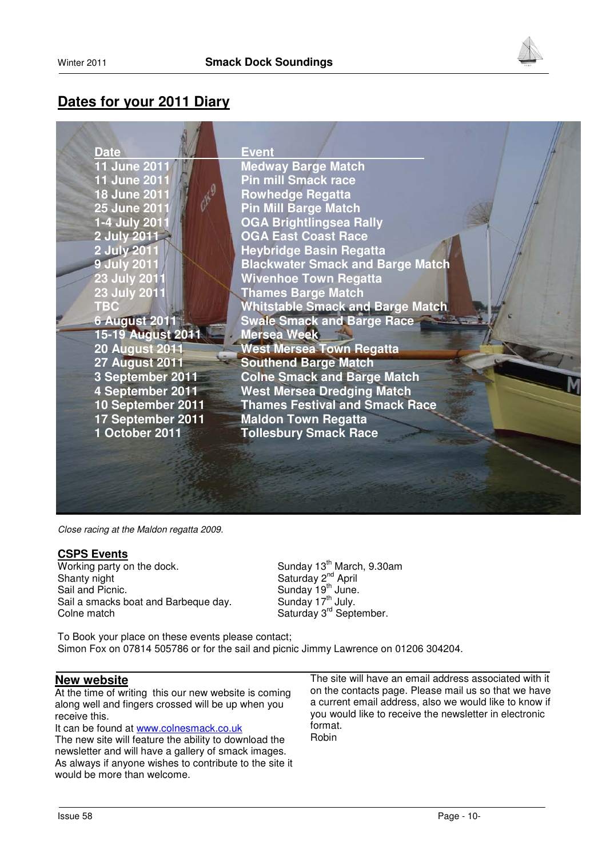

# **Dates for your 2011 Diary**



Close racing at the Maldon regatta 2009.

#### **CSPS Events**

Working party on the dock.  $\mu$  Sunday 13<sup>th</sup> March, 9.30am Shanty night Shanty night Shanty April Sail and Picnic. Sunday 19<sup>th</sup> June. Sail a smacks boat and Barbeque day. Colne match Saturday 3<sup>rd</sup> September.

To Book your place on these events please contact; Simon Fox on 07814 505786 or for the sail and picnic Jimmy Lawrence on 01206 304204.

## **New website**

At the time of writing this our new website is coming along well and fingers crossed will be up when you receive this.

It can be found at www.colnesmack.co.uk The new site will feature the ability to download the newsletter and will have a gallery of smack images. As always if anyone wishes to contribute to the site it would be more than welcome.

The site will have an email address associated with it on the contacts page. Please mail us so that we have a current email address, also we would like to know if you would like to receive the newsletter in electronic format. Robin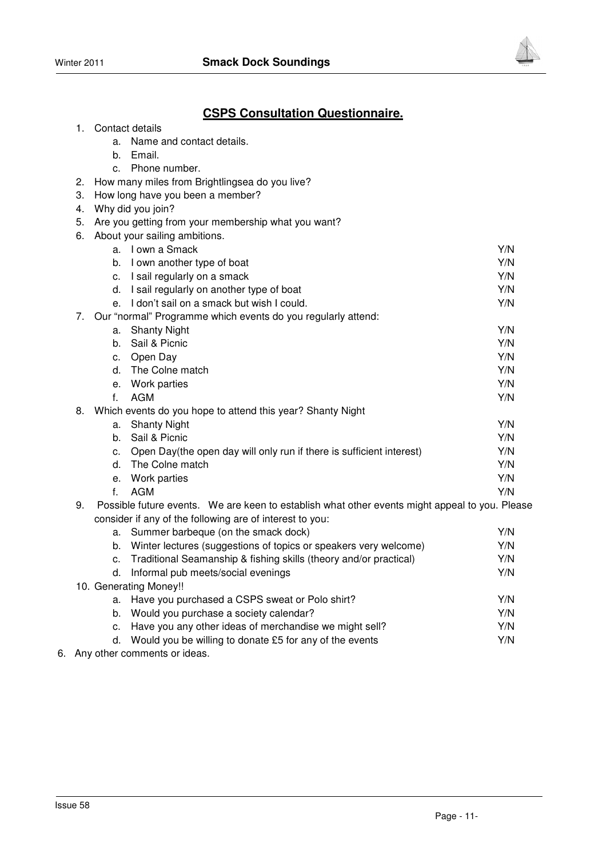



# **CSPS Consultation Questionnaire.**

- 1. Contact details
	- a. Name and contact details.
	- b. Email.
	- c. Phone number.
- 2. How many miles from Brightlingsea do you live?
- 3. How long have you been a member?
- 4. Why did you join?
- 5. Are you getting from your membership what you want?
- 6. About your sailing ambitions.

|    | a. | I own a Smack                                                                                  | Y/N |
|----|----|------------------------------------------------------------------------------------------------|-----|
|    | b. | I own another type of boat                                                                     | Y/N |
|    | c. | I sail regularly on a smack                                                                    | Y/N |
|    | d. | I sail regularly on another type of boat                                                       | Y/N |
|    | e. | I don't sail on a smack but wish I could.                                                      | Y/N |
| 7. |    | Our "normal" Programme which events do you regularly attend:                                   |     |
|    | а. | <b>Shanty Night</b>                                                                            | Y/N |
|    | b. | Sail & Picnic                                                                                  | Y/N |
|    | c. | Open Day                                                                                       | Y/N |
|    | d. | The Colne match                                                                                | Y/N |
|    | е. | Work parties                                                                                   | Y/N |
|    | f. | AGM                                                                                            | Y/N |
| 8. |    | Which events do you hope to attend this year? Shanty Night                                     |     |
|    | a. | <b>Shanty Night</b>                                                                            | Y/N |
|    | b. | Sail & Picnic                                                                                  | Y/N |
|    | c. | Open Day(the open day will only run if there is sufficient interest)                           | Y/N |
|    | d. | The Colne match                                                                                | Y/N |
|    | е. | Work parties                                                                                   | Y/N |
|    | f  | AGM                                                                                            | Y/N |
| 9. |    | Possible future events. We are keen to establish what other events might appeal to you. Please |     |
|    |    | consider if any of the following are of interest to you:                                       |     |

|                        |    | 001101001 11 any 01 and 101101111119 and 01 macroot to your          |     |
|------------------------|----|----------------------------------------------------------------------|-----|
|                        |    | a. Summer barbeque (on the smack dock)                               | Y/N |
|                        | b. | Winter lectures (suggestions of topics or speakers very welcome)     | Y/N |
|                        |    | c. Traditional Seamanship & fishing skills (theory and/or practical) | Y/N |
|                        |    | d. Informal pub meets/social evenings                                | Y/N |
| 10. Generating Money!! |    |                                                                      |     |
|                        |    | a. Have you purchased a CSPS sweat or Polo shirt?                    | Y/N |
|                        |    | b. Would you purchase a society calendar?                            | Y/N |
|                        |    | c. Have you any other ideas of merchandise we might sell?            | Y/N |
|                        | d. | Would you be willing to donate £5 for any of the events              | Y/N |
|                        |    | Any athor commonto or idooo                                          |     |

6. Any other comments or ideas.